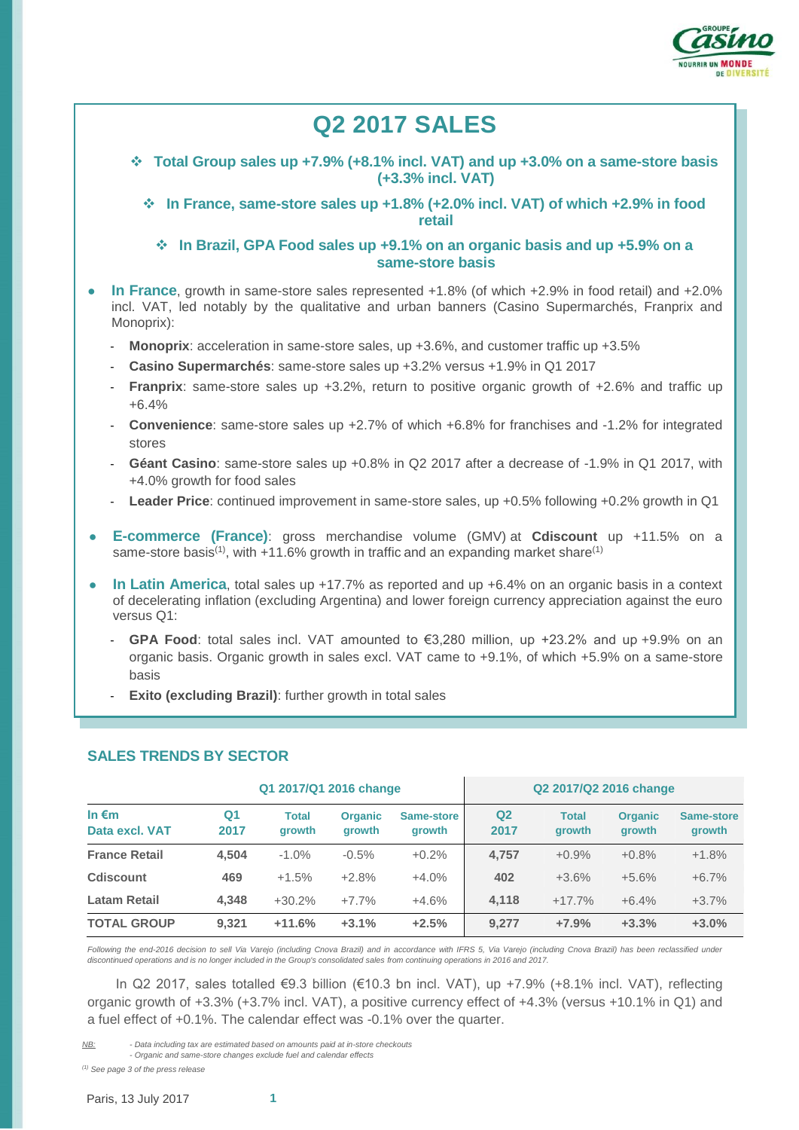

# **Q2 2017 SALES Total Group sales up +7.9% (+8.1% incl. VAT) and up +3.0% on a same-store basis (+3.3% incl. VAT) In France, same-store sales up +1.8% (+2.0% incl. VAT) of which +2.9% in food retail In Brazil, GPA Food sales up +9.1% on an organic basis and up +5.9% on a same-store basis** ● **In France**, growth in same-store sales represented +1.8% (of which +2.9% in food retail) and +2.0% incl. VAT, led notably by the qualitative and urban banners (Casino Supermarchés, Franprix and Monoprix): **Monoprix**: acceleration in same-store sales, up +3.6%, and customer traffic up +3.5% - **Casino Supermarchés**: same-store sales up +3.2% versus +1.9% in Q1 2017 **Franprix**: same-store sales up +3.2%, return to positive organic growth of +2.6% and traffic up +6.4% - **Convenience**: same-store sales up +2.7% of which +6.8% for franchises and -1.2% for integrated stores - **Géant Casino**: same-store sales up +0.8% in Q2 2017 after a decrease of -1.9% in Q1 2017, with +4.0% growth for food sales - **Leader Price**: continued improvement in same-store sales, up +0.5% following +0.2% growth in Q1 ● **E-commerce (France)**: gross merchandise volume (GMV) at **Cdiscount** up +11.5% on a same-store basis<sup>(1)</sup>, with  $+11.6\%$  growth in traffic and an expanding market share<sup>(1)</sup> **In Latin America**, total sales up +17.7% as reported and up +6.4% on an organic basis in a context of decelerating inflation (excluding Argentina) and lower foreign currency appreciation against the euro versus Q1: **GPA Food**: total sales incl. VAT amounted to €3,280 million, up  $+23.2\%$  and up  $+9.9\%$  on an organic basis. Organic growth in sales excl. VAT came to +9.1%, of which +5.9% on a same-store basis **Exito (excluding Brazil)**: further growth in total sales **SALES TRENDS BY SECTOR**

|                                   | Q1 2017/Q1 2016 change |                               |                          | Q2 2017/Q2 2016 change      |                        |                        |                                 |                             |
|-----------------------------------|------------------------|-------------------------------|--------------------------|-----------------------------|------------------------|------------------------|---------------------------------|-----------------------------|
| In $\epsilon$ m<br>Data excl. VAT | Q1<br>2017             | <b>Total</b><br><b>arowth</b> | <b>Organic</b><br>growth | Same-store<br><b>arowth</b> | Q <sub>2</sub><br>2017 | <b>Total</b><br>growth | <b>Organic</b><br><b>arowth</b> | <b>Same-store</b><br>growth |
| <b>France Retail</b>              | 4.504                  | $-1.0\%$                      | $-0.5%$                  | $+0.2\%$                    | 4,757                  | $+0.9%$                | $+0.8%$                         | $+1.8%$                     |
| Cdiscount                         | 469                    | $+1.5%$                       | $+2.8%$                  | $+4.0%$                     | 402                    | $+3.6%$                | $+5.6%$                         | $+6.7\%$                    |
| <b>Latam Retail</b>               | 4.348                  | $+30.2%$                      | $+7.7%$                  | $+4.6%$                     | 4.118                  | $+17.7%$               | $+6.4%$                         | $+3.7%$                     |
| <b>TOTAL GROUP</b>                | 9.321                  | $+11.6%$                      | $+3.1%$                  | $+2.5%$                     | 9,277                  | $+7.9%$                | $+3.3%$                         | $+3.0%$                     |

Following the end-2016 decision to sell Via Varejo (including Cnova Brazil) and in accordance with IFRS 5, Via Varejo (including Cnova Brazil) has been reclassified under *discontinued operations and is no longer included in the Group's consolidated sales from continuing operations in 2016 and 2017.*

In Q2 2017, sales totalled €9.3 billion (€10.3 bn incl. VAT), up +7.9% (+8.1% incl. VAT), reflecting organic growth of +3.3% (+3.7% incl. VAT), a positive currency effect of +4.3% (versus +10.1% in Q1) and a fuel effect of +0.1%. The calendar effect was -0.1% over the quarter.

*NB: - Data including tax are estimated based on amounts paid at in-store checkouts - Organic and same-store changes exclude fuel and calendar effects*

*(1) See page 3 of the press release*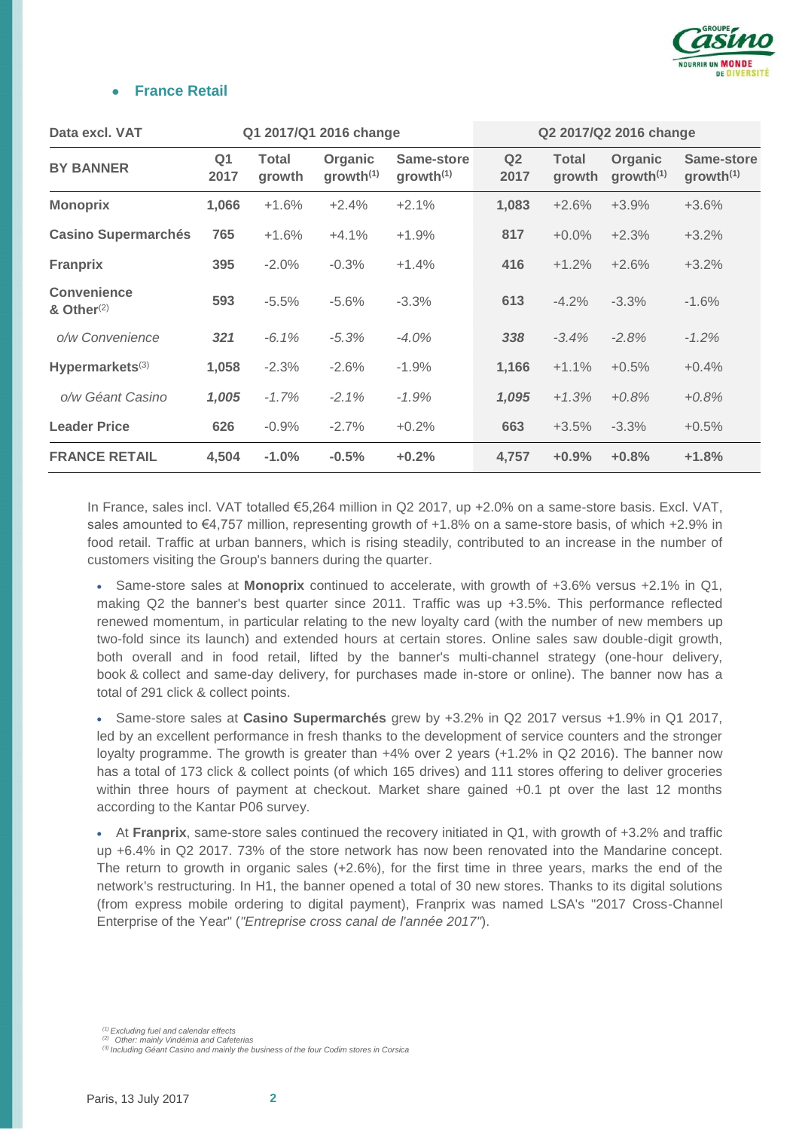

#### **France Retail**

| Data excl. VAT                      |                        |                        | Q1 2017/Q1 2016 change           |                                     |                        |                        | Q2 2017/Q2 2016 change           |                                     |
|-------------------------------------|------------------------|------------------------|----------------------------------|-------------------------------------|------------------------|------------------------|----------------------------------|-------------------------------------|
| <b>BY BANNER</b>                    | Q <sub>1</sub><br>2017 | <b>Total</b><br>growth | Organic<br>growth <sup>(1)</sup> | Same-store<br>growth <sup>(1)</sup> | Q <sub>2</sub><br>2017 | <b>Total</b><br>growth | Organic<br>growth <sup>(1)</sup> | Same-store<br>growth <sup>(1)</sup> |
| <b>Monoprix</b>                     | 1,066                  | $+1.6%$                | $+2.4%$                          | $+2.1%$                             | 1,083                  | $+2.6%$                | $+3.9%$                          | $+3.6%$                             |
| <b>Casino Supermarchés</b>          | 765                    | $+1.6%$                | $+4.1%$                          | $+1.9%$                             | 817                    | $+0.0\%$               | $+2.3%$                          | $+3.2%$                             |
| <b>Franprix</b>                     | 395                    | $-2.0%$                | $-0.3%$                          | $+1.4%$                             | 416                    | $+1.2%$                | $+2.6%$                          | $+3.2%$                             |
| <b>Convenience</b><br>& Other $(2)$ | 593                    | $-5.5%$                | $-5.6%$                          | $-3.3%$                             | 613                    | $-4.2%$                | $-3.3%$                          | $-1.6%$                             |
| o/w Convenience                     | 321                    | $-6.1%$                | $-5.3%$                          | $-4.0%$                             | 338                    | $-3.4%$                | $-2.8%$                          | $-1.2%$                             |
| Hypermarkets $(3)$                  | 1,058                  | $-2.3%$                | $-2.6%$                          | $-1.9%$                             | 1,166                  | $+1.1%$                | $+0.5%$                          | $+0.4%$                             |
| o/w Géant Casino                    | 1,005                  | $-1.7%$                | $-2.1%$                          | $-1.9%$                             | 1,095                  | $+1.3%$                | $+0.8%$                          | $+0.8%$                             |
| <b>Leader Price</b>                 | 626                    | $-0.9%$                | $-2.7%$                          | $+0.2%$                             | 663                    | $+3.5%$                | $-3.3%$                          | $+0.5%$                             |
| <b>FRANCE RETAIL</b>                | 4,504                  | $-1.0%$                | $-0.5%$                          | $+0.2%$                             | 4,757                  | $+0.9%$                | $+0.8%$                          | $+1.8%$                             |

In France, sales incl. VAT totalled €5,264 million in Q2 2017, up +2.0% on a same-store basis. Excl. VAT, sales amounted to €4,757 million, representing growth of +1.8% on a same-store basis, of which +2.9% in food retail. Traffic at urban banners, which is rising steadily, contributed to an increase in the number of customers visiting the Group's banners during the quarter.

 Same-store sales at **Monoprix** continued to accelerate, with growth of +3.6% versus +2.1% in Q1, making Q2 the banner's best quarter since 2011. Traffic was up +3.5%. This performance reflected renewed momentum, in particular relating to the new loyalty card (with the number of new members up two-fold since its launch) and extended hours at certain stores. Online sales saw double-digit growth, both overall and in food retail, lifted by the banner's multi-channel strategy (one-hour delivery, book & collect and same-day delivery, for purchases made in-store or online). The banner now has a total of 291 click & collect points.

 Same-store sales at **Casino Supermarchés** grew by +3.2% in Q2 2017 versus +1.9% in Q1 2017, led by an excellent performance in fresh thanks to the development of service counters and the stronger loyalty programme. The growth is greater than +4% over 2 years (+1.2% in Q2 2016). The banner now has a total of 173 click & collect points (of which 165 drives) and 111 stores offering to deliver groceries within three hours of payment at checkout. Market share gained +0.1 pt over the last 12 months according to the Kantar P06 survey.

 At **Franprix**, same-store sales continued the recovery initiated in Q1, with growth of +3.2% and traffic up +6.4% in Q2 2017. 73% of the store network has now been renovated into the Mandarine concept. The return to growth in organic sales (+2.6%), for the first time in three years, marks the end of the network's restructuring. In H1, the banner opened a total of 30 new stores. Thanks to its digital solutions (from express mobile ordering to digital payment), Franprix was named LSA's "2017 Cross-Channel Enterprise of the Year" (*"Entreprise cross canal de l'année 2017"*).

*<sup>(1)</sup> Excluding fuel and calendar effects*

*<sup>(2)</sup> Other: mainly Vindémia and Cafeterias (3) Including Géant Casino and mainly the business of the four Codim stores in Corsica*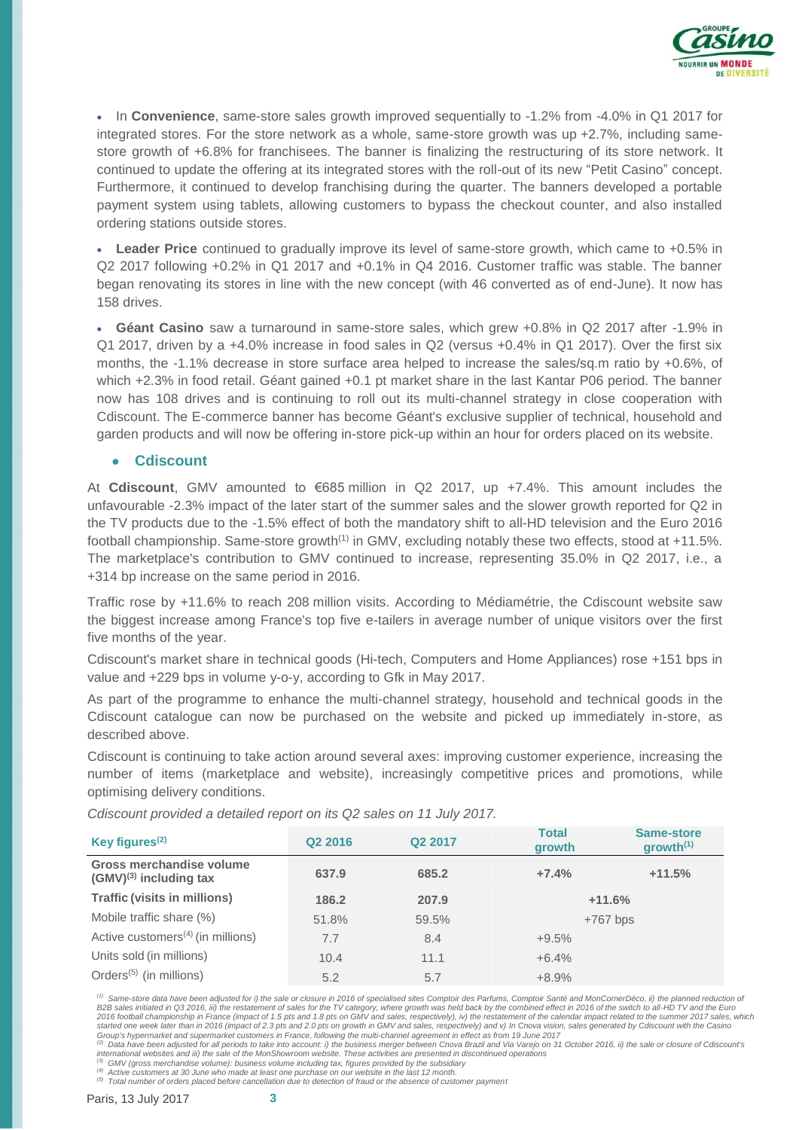

 In **Convenience**, same-store sales growth improved sequentially to -1.2% from -4.0% in Q1 2017 for integrated stores. For the store network as a whole, same-store growth was up +2.7%, including samestore growth of +6.8% for franchisees. The banner is finalizing the restructuring of its store network. It continued to update the offering at its integrated stores with the roll-out of its new "Petit Casino" concept. Furthermore, it continued to develop franchising during the quarter. The banners developed a portable payment system using tablets, allowing customers to bypass the checkout counter, and also installed ordering stations outside stores.

 **Leader Price** continued to gradually improve its level of same-store growth, which came to +0.5% in Q2 2017 following +0.2% in Q1 2017 and +0.1% in Q4 2016. Customer traffic was stable. The banner began renovating its stores in line with the new concept (with 46 converted as of end-June). It now has 158 drives.

 **Géant Casino** saw a turnaround in same-store sales, which grew +0.8% in Q2 2017 after -1.9% in Q1 2017, driven by a +4.0% increase in food sales in Q2 (versus +0.4% in Q1 2017). Over the first six months, the -1.1% decrease in store surface area helped to increase the sales/sq.m ratio by +0.6%, of which +2.3% in food retail. Géant gained +0.1 pt market share in the last Kantar P06 period. The banner now has 108 drives and is continuing to roll out its multi-channel strategy in close cooperation with Cdiscount. The E-commerce banner has become Géant's exclusive supplier of technical, household and garden products and will now be offering in-store pick-up within an hour for orders placed on its website.

#### ● **Cdiscount**

At **Cdiscount**, GMV amounted to €685 million in Q2 2017, up +7.4%. This amount includes the unfavourable -2.3% impact of the later start of the summer sales and the slower growth reported for Q2 in the TV products due to the -1.5% effect of both the mandatory shift to all-HD television and the Euro 2016 football championship. Same-store growth<sup>(1)</sup> in GMV, excluding notably these two effects, stood at +11.5%. The marketplace's contribution to GMV continued to increase, representing 35.0% in Q2 2017, i.e., a +314 bp increase on the same period in 2016.

Traffic rose by +11.6% to reach 208 million visits. According to Médiamétrie, the Cdiscount website saw the biggest increase among France's top five e-tailers in average number of unique visitors over the first five months of the year.

Cdiscount's market share in technical goods (Hi-tech, Computers and Home Appliances) rose +151 bps in value and +229 bps in volume y-o-y, according to Gfk in May 2017.

As part of the programme to enhance the multi-channel strategy, household and technical goods in the Cdiscount catalogue can now be purchased on the website and picked up immediately in-store, as described above.

Cdiscount is continuing to take action around several axes: improving customer experience, increasing the number of items (marketplace and website), increasingly competitive prices and promotions, while optimising delivery conditions.

*Cdiscount provided a detailed report on its Q2 sales on 11 July 2017.*

| Key figures $(2)$                                       | Q2 2016 | Q <sub>2</sub> 2017 | <b>Total</b><br>growth | Same-store<br>qrowth <sup>(1)</sup> |
|---------------------------------------------------------|---------|---------------------|------------------------|-------------------------------------|
| Gross merchandise volume<br>$(GMV)^{(3)}$ including tax | 637.9   | 685.2               | $+7.4%$                | $+11.5%$                            |
| <b>Traffic (visits in millions)</b>                     | 186.2   | 207.9               | $+11.6%$               |                                     |
| Mobile traffic share (%)                                | 51.8%   | 59.5%               | $+767$ bps             |                                     |
| Active customers <sup>(4)</sup> (in millions)           | 7.7     | 8.4                 | $+9.5%$                |                                     |
| Units sold (in millions)                                | 10.4    | 11.1                | $+6.4%$                |                                     |
| Orders <sup>(5)</sup> (in millions)                     | 5.2     | 5.7                 | $+8.9%$                |                                     |

*(1) Same-store data have been adjusted for i) the sale or closure in 2016 of specialised sites Comptoir des Parfums, Comptoir Santé and MonCornerDéco, ii) the planned reduction of*  B2B sales initiated in Q3 2016, iii) the restatement of sales for the TV category, where growth was held back by the combined effect in 2016 of the switch to all-HD TV and the Euro<br>2016 football championship in France (imp started one week later than in 2016 (impact of 2.3 pts and 2.0 pts on growth in GMV and sales, respectively) and v) In Cnova vision, sales generated by Cdiscount with the Casino<br>Group's hypermarket and supermarket customer

international websites and iii) the sale of the MonShowroom website. These activities are presented in discontinued operations<br><sup>(3)</sup> GMV (gross merchandise volume): business volume including tax, figures provided by the su

<sup>(4)</sup> Active customers at 30 June who made at least one purchase on our website in the last 12 month.<br><sup>(5)</sup> Total number of orders placed before cancellation due to detection of fraud or the absence of customer paymen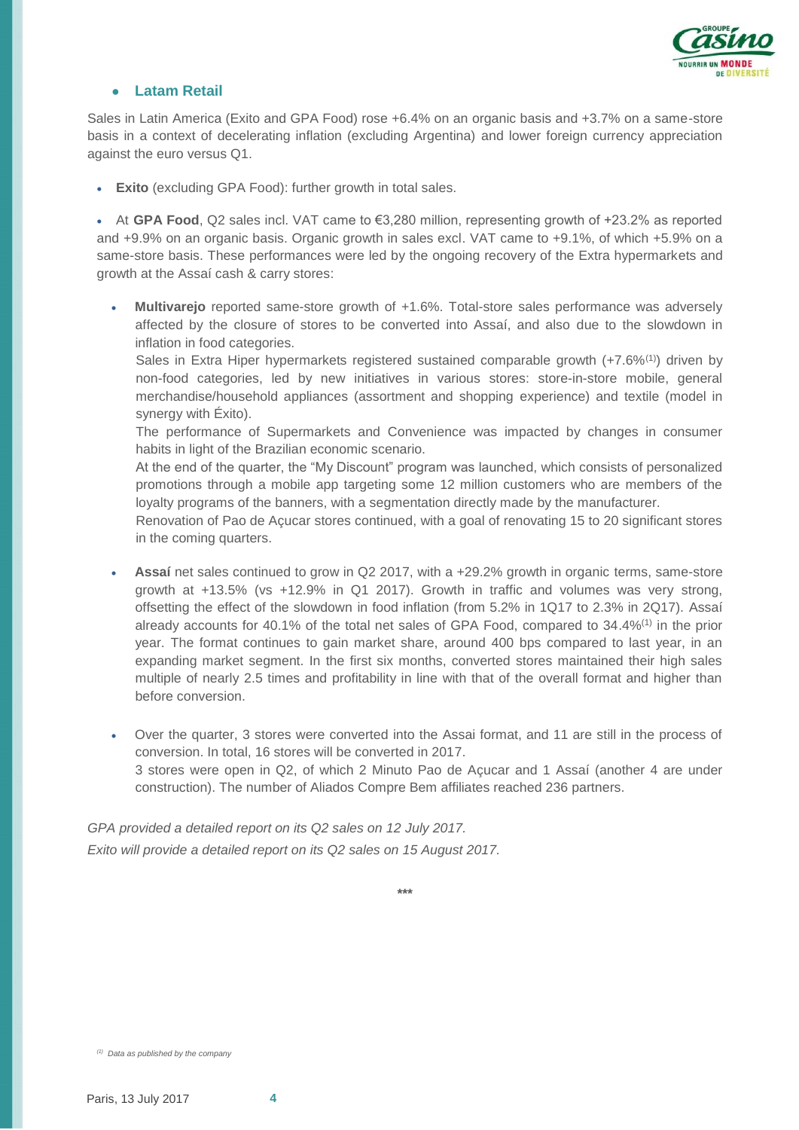

#### ● **Latam Retail**

Sales in Latin America (Exito and GPA Food) rose +6.4% on an organic basis and +3.7% on a same-store basis in a context of decelerating inflation (excluding Argentina) and lower foreign currency appreciation against the euro versus Q1.

**Exito** (excluding GPA Food): further growth in total sales.

 At **GPA Food**, Q2 sales incl. VAT came to €3,280 million, representing growth of +23.2% as reported and +9.9% on an organic basis. Organic growth in sales excl. VAT came to +9.1%, of which +5.9% on a same-store basis. These performances were led by the ongoing recovery of the Extra hypermarkets and growth at the Assaí cash & carry stores:

 **Multivarejo** reported same-store growth of +1.6%. Total-store sales performance was adversely affected by the closure of stores to be converted into Assaí, and also due to the slowdown in inflation in food categories.

Sales in Extra Hiper hypermarkets registered sustained comparable growth  $(+7.6\%/1)$  driven by non-food categories, led by new initiatives in various stores: store-in-store mobile, general merchandise/household appliances (assortment and shopping experience) and textile (model in synergy with Éxito).

The performance of Supermarkets and Convenience was impacted by changes in consumer habits in light of the Brazilian economic scenario.

At the end of the quarter, the "My Discount" program was launched, which consists of personalized promotions through a mobile app targeting some 12 million customers who are members of the loyalty programs of the banners, with a segmentation directly made by the manufacturer.

Renovation of Pao de Açucar stores continued, with a goal of renovating 15 to 20 significant stores in the coming quarters.

- **Assaí** net sales continued to grow in Q2 2017, with a +29.2% growth in organic terms, same-store growth at +13.5% (vs +12.9% in Q1 2017). Growth in traffic and volumes was very strong, offsetting the effect of the slowdown in food inflation (from 5.2% in 1Q17 to 2.3% in 2Q17). Assaí already accounts for 40.1% of the total net sales of GPA Food, compared to 34.4%(1) in the prior year. The format continues to gain market share, around 400 bps compared to last year, in an expanding market segment. In the first six months, converted stores maintained their high sales multiple of nearly 2.5 times and profitability in line with that of the overall format and higher than before conversion.
- Over the quarter, 3 stores were converted into the Assai format, and 11 are still in the process of conversion. In total, 16 stores will be converted in 2017. 3 stores were open in Q2, of which 2 Minuto Pao de Açucar and 1 Assaí (another 4 are under construction). The number of Aliados Compre Bem affiliates reached 236 partners.

*GPA provided a detailed report on its Q2 sales on 12 July 2017. Exito will provide a detailed report on its Q2 sales on 15 August 2017.*

**\*\*\***

*<sup>(1)</sup> Data as published by the company*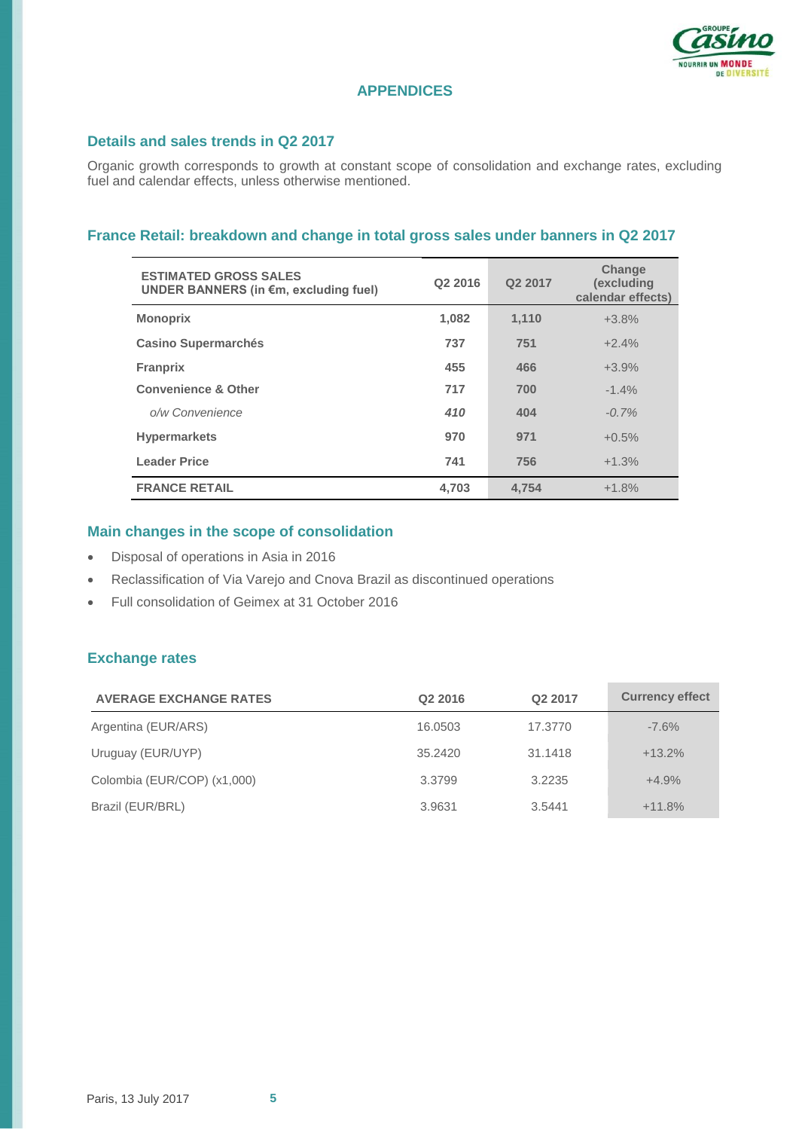

# **APPENDICES**

#### **Details and sales trends in Q2 2017**

Organic growth corresponds to growth at constant scope of consolidation and exchange rates, excluding fuel and calendar effects, unless otherwise mentioned.

#### **France Retail: breakdown and change in total gross sales under banners in Q2 2017**

| <b>ESTIMATED GROSS SALES</b><br>UNDER BANNERS (in €m, excluding fuel) | Q2 2016 | Q <sub>2</sub> 2017 | <b>Change</b><br>(excluding<br>calendar effects) |
|-----------------------------------------------------------------------|---------|---------------------|--------------------------------------------------|
| <b>Monoprix</b>                                                       | 1,082   | 1,110               | $+3.8%$                                          |
| <b>Casino Supermarchés</b>                                            | 737     | 751                 | $+2.4%$                                          |
| <b>Franprix</b>                                                       | 455     | 466                 | $+3.9%$                                          |
| <b>Convenience &amp; Other</b>                                        | 717     | 700                 | $-1.4%$                                          |
| o/w Convenience                                                       | 410     | 404                 | $-0.7%$                                          |
| <b>Hypermarkets</b>                                                   | 970     | 971                 | $+0.5%$                                          |
| <b>Leader Price</b>                                                   | 741     | 756                 | $+1.3%$                                          |
| <b>FRANCE RETAIL</b>                                                  | 4.703   | 4.754               | $+1.8%$                                          |

# **Main changes in the scope of consolidation**

- Disposal of operations in Asia in 2016
- Reclassification of Via Varejo and Cnova Brazil as discontinued operations
- Full consolidation of Geimex at 31 October 2016

# **Exchange rates**

| <b>AVERAGE EXCHANGE RATES</b> | Q <sub>2</sub> 2016 | Q2 2017 | <b>Currency effect</b> |
|-------------------------------|---------------------|---------|------------------------|
| Argentina (EUR/ARS)           | 16.0503             | 17.3770 | $-7.6%$                |
| Uruguay (EUR/UYP)             | 35.2420             | 31.1418 | $+13.2%$               |
| Colombia (EUR/COP) (x1,000)   | 3.3799              | 3.2235  | $+4.9%$                |
| Brazil (EUR/BRL)              | 3.9631              | 3.5441  | $+11.8%$               |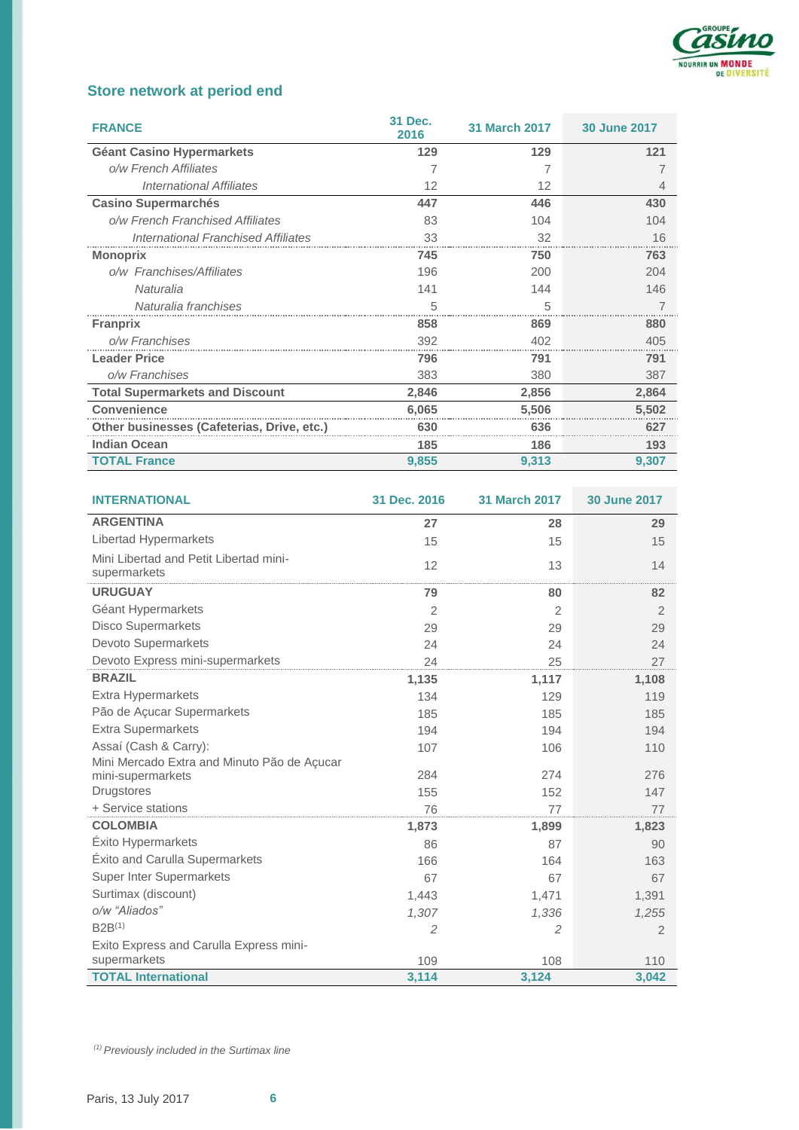

# **Store network at period end**

| <b>FRANCE</b>                              | 31 Dec.<br>2016 | <b>31 March 2017</b> | <b>30 June 2017</b> |
|--------------------------------------------|-----------------|----------------------|---------------------|
| <b>Géant Casino Hypermarkets</b>           | 129             | 129                  | 121                 |
| o/w French Affiliates                      |                 |                      |                     |
| <b>International Affiliates</b>            | 12              | 12                   |                     |
| <b>Casino Supermarchés</b>                 | 447             | 446                  | 430                 |
| o/w French Franchised Affiliates           | 83              | 104                  | 104                 |
| <b>International Franchised Affiliates</b> | 33              | 32                   | 16                  |
| <b>Monoprix</b>                            | 745             | 750                  | 763                 |
| o/w Franchises/Affiliates                  | 196             | 200                  | 204                 |
| Naturalia                                  | 141             | 144                  | 146                 |
| Naturalia franchises                       | 5               | 5                    |                     |
| <b>Franprix</b>                            | 858             | 869                  | 880                 |
| o/w Franchises                             | 392             | 402                  | 405                 |
| <b>Leader Price</b>                        | 796             | 791                  | 791                 |
| o/w Franchises                             | 383             | 380                  | 387                 |
| <b>Total Supermarkets and Discount</b>     | 2,846           | 2,856                | 2,864               |
| <b>Convenience</b>                         | 6.065           | 5.506                | 5,502               |
| Other businesses (Cafeterias, Drive, etc.) | 630             | 636                  | 627                 |
| <b>Indian Ocean</b>                        | 185             | 186                  | 193                 |
| <b>TOTAL France</b>                        | 9,855           | 9.313                | 9.307               |

| <b>INTERNATIONAL</b>                                   | 31 Dec. 2016 | <b>31 March 2017</b> | <b>30 June 2017</b> |
|--------------------------------------------------------|--------------|----------------------|---------------------|
| <b>ARGENTINA</b>                                       | 27           | 28                   | 29                  |
| Libertad Hypermarkets                                  | 15           | 15                   | 15                  |
| Mini Libertad and Petit Libertad mini-<br>supermarkets | 12           | 13                   | 14                  |
| <b>URUGUAY</b>                                         | 79           | 80                   | 82                  |
| Géant Hypermarkets                                     | 2            | $\overline{2}$       | 2                   |
| <b>Disco Supermarkets</b>                              | 29           | 29                   | 29                  |
| Devoto Supermarkets                                    | 24           | 24                   | 24                  |
| Devoto Express mini-supermarkets                       | 24           | 25                   | 27                  |
| <b>BRAZIL</b>                                          | 1,135        | 1,117                | 1,108               |
| Extra Hypermarkets                                     | 134          | 129                  | 119                 |
| Pão de Açucar Supermarkets                             | 185          | 185                  | 185                 |
| <b>Extra Supermarkets</b>                              | 194          | 194                  | 194                 |
| Assaí (Cash & Carry):                                  | 107          | 106                  | 110                 |
| Mini Mercado Extra and Minuto Pão de Açucar            |              |                      |                     |
| mini-supermarkets                                      | 284          | 274                  | 276                 |
| Drugstores                                             | 155          | 152                  | 147                 |
| + Service stations                                     | 76           | 77                   | 77                  |
| <b>COLOMBIA</b>                                        | 1,873        | 1,899                | 1,823               |
| Éxito Hypermarkets                                     | 86           | 87                   | 90                  |
| Éxito and Carulla Supermarkets                         | 166          | 164                  | 163                 |
| <b>Super Inter Supermarkets</b>                        | 67           | 67                   | 67                  |
| Surtimax (discount)                                    | 1,443        | 1,471                | 1,391               |
| o/w "Aliados"                                          | 1,307        | 1,336                | 1,255               |
| $B2B^{(1)}$                                            | 2            | 2                    | 2                   |
| Exito Express and Carulla Express mini-                |              |                      |                     |
| supermarkets                                           | 109          | 108                  | 110                 |
| <b>TOTAL International</b>                             | 3,114        | 3,124                | 3,042               |

*(1) Previously included in the Surtimax line*